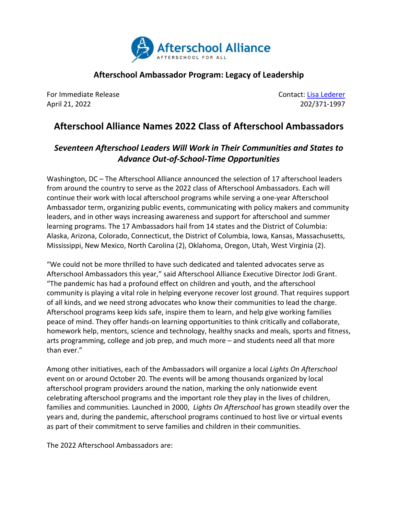

## **Afterschool Ambassador Program: Legacy of Leadership**

For Immediate Release Contact: [Lisa Lederer](mailto:lisa@prsolutionsdc.com?subject=Afterschool%20Ambassadors) April 21, 2022 202/371-1997

## **Afterschool Alliance Names 2022 Class of Afterschool Ambassadors**

## *Seventeen Afterschool Leaders Will Work in Their Communities and States to Advance Out-of-School-Time Opportunities*

Washington, DC – The Afterschool Alliance announced the selection of 17 afterschool leaders from around the country to serve as the 2022 class of Afterschool Ambassadors. Each will continue their work with local afterschool programs while serving a one-year Afterschool Ambassador term, organizing public events, communicating with policy makers and community leaders, and in other ways increasing awareness and support for afterschool and summer learning programs. The 17 Ambassadors hail from 14 states and the District of Columbia: Alaska, Arizona, Colorado, Connecticut, the District of Columbia, Iowa, Kansas, Massachusetts, Mississippi, New Mexico, North Carolina (2), Oklahoma, Oregon, Utah, West Virginia (2).

"We could not be more thrilled to have such dedicated and talented advocates serve as Afterschool Ambassadors this year," said Afterschool Alliance Executive Director Jodi Grant. "The pandemic has had a profound effect on children and youth, and the afterschool community is playing a vital role in helping everyone recover lost ground. That requires support of all kinds, and we need strong advocates who know their communities to lead the charge. Afterschool programs keep kids safe, inspire them to learn, and help give working families peace of mind. They offer hands-on learning opportunities to think critically and collaborate, homework help, mentors, science and technology, healthy snacks and meals, sports and fitness, arts programming, college and job prep, and much more – and students need all that more than ever."

Among other initiatives, each of the Ambassadors will organize a local *Lights On Afterschool* event on or around October 20. The events will be among thousands organized by local afterschool program providers around the nation, marking the only nationwide event celebrating afterschool programs and the important role they play in the lives of children, families and communities. Launched in 2000, *Lights On Afterschool* has grown steadily over the years and, during the pandemic, afterschool programs continued to host live or virtual events as part of their commitment to serve families and children in their communities.

The 2022 Afterschool Ambassadors are: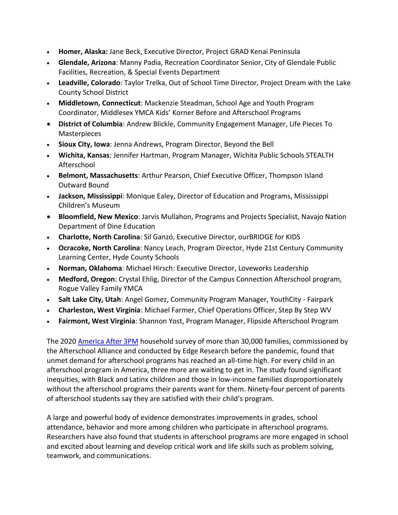- **Homer, Alaska:** Jane Beck, Executive Director, Project GRAD Kenai Peninsula
- **Glendale, Arizona**: Manny Padia, Recreation Coordinator Senior, City of Glendale Public Facilities, Recreation, & Special Events Department
- **Leadville, Colorado**: Taylor Trelka, Out of School Time Director, Project Dream with the Lake County School District
- **Middletown, Connecticut**: Mackenzie Steadman, School Age and Youth Program Coordinator, Middlesex YMCA Kids' Korner Before and Afterschool Programs
- **District of Columbia**: Andrew Blickle, Community Engagement Manager, Life Pieces To Masterpieces
- **Sioux City, Iowa**: Jenna Andrews, Program Director, Beyond the Bell
- **Wichita, Kansas**: Jennifer Hartman, Program Manager, Wichita Public Schools STEALTH Afterschool
- **Belmont, Massachusetts**: Arthur Pearson, Chief Executive Officer, Thompson Island Outward Bound
- **Jackson, Mississippi**: Monique Ealey, Director of Education and Programs, Mississippi Children's Museum
- **Bloomfield, New Mexico**: Jarvis Mullahon, Programs and Projects Specialist, Navajo Nation Department of Dine Education
- **Charlotte, North Carolina**: Sil Ganzó, Executive Director, ourBRIDGE for KIDS
- **Ocracoke, North Carolina**: Nancy Leach, Program Director, Hyde 21st Century Community Learning Center, Hyde County Schools
- **Norman, Oklahoma**: Michael Hirsch: Executive Director, Loveworks Leadership
- **Medford, Oregon**: Crystal Ehlig, Director of the Campus Connection Afterschool program, Rogue Valley Family YMCA
- **Salt Lake City, Utah**: Angel Gomez, Community Program Manager, YouthCity Fairpark
- **Charleston, West Virginia**: Michael Farmer, Chief Operations Officer, Step By Step WV
- **Fairmont, West Virginia**: Shannon Yost, Program Manager, Flipside Afterschool Program

The 2020 [America After 3PM](http://www.afterschoolalliance.org/AA3PM/) household survey of more than 30,000 families, commissioned by the Afterschool Alliance and conducted by Edge Research before the pandemic, found that unmet demand for afterschool programs has reached an all-time high. For every child in an afterschool program in America, three more are waiting to get in. The study found significant inequities, with Black and Latinx children and those in low-income families disproportionately without the afterschool programs their parents want for them. Ninety-four percent of parents of afterschool students say they are satisfied with their child's program.

A large and powerful body of evidence demonstrates improvements in grades, school attendance, behavior and more among children who participate in afterschool programs. Researchers have also found that students in afterschool programs are more engaged in school and excited about learning and develop critical work and life skills such as problem solving, teamwork, and communications.